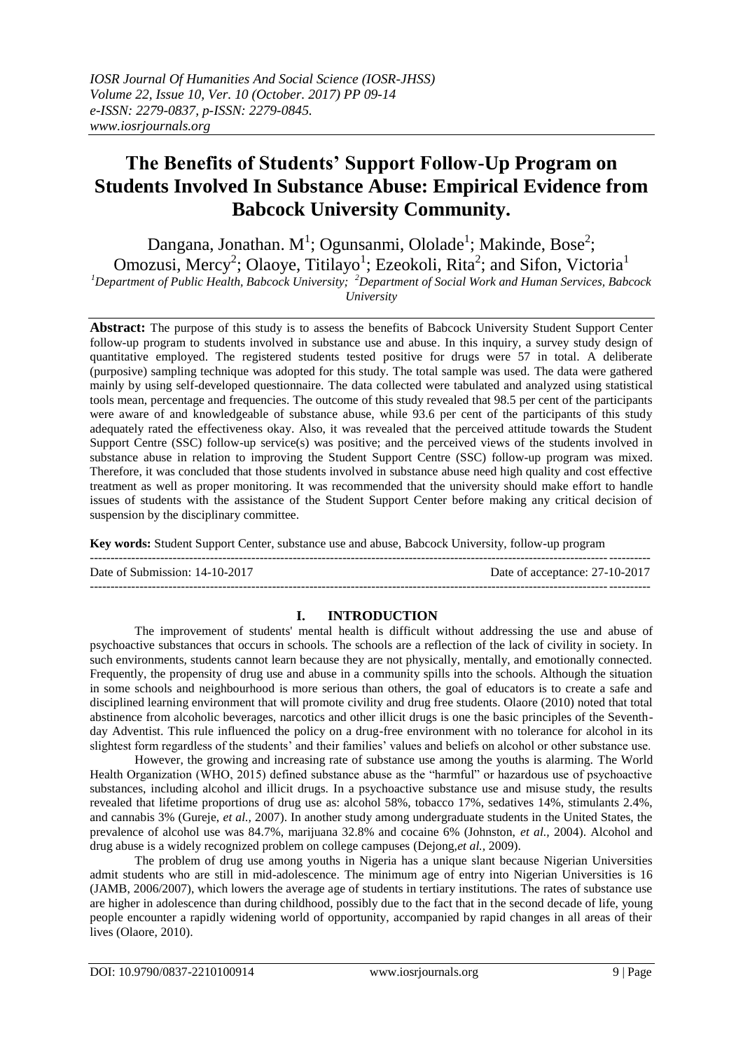# **The Benefits of Students' Support Follow-Up Program on Students Involved In Substance Abuse: Empirical Evidence from Babcock University Community.**

Dangana, Jonathan. M<sup>1</sup>; Ogunsanmi, Ololade<sup>1</sup>; Makinde, Bose<sup>2</sup>; Omozusi, Mercy<sup>2</sup>; Olaoye, Titilayo<sup>1</sup>; Ezeokoli, Rita<sup>2</sup>; and Sifon, Victoria<sup>1</sup>

*<sup>1</sup>Department of Public Health, Babcock University; <sup>2</sup>Department of Social Work and Human Services, Babcock* 

*University*

**Abstract:** The purpose of this study is to assess the benefits of Babcock University Student Support Center follow-up program to students involved in substance use and abuse. In this inquiry, a survey study design of quantitative employed. The registered students tested positive for drugs were 57 in total. A deliberate (purposive) sampling technique was adopted for this study. The total sample was used. The data were gathered mainly by using self-developed questionnaire. The data collected were tabulated and analyzed using statistical tools mean, percentage and frequencies. The outcome of this study revealed that 98.5 per cent of the participants were aware of and knowledgeable of substance abuse, while 93.6 per cent of the participants of this study adequately rated the effectiveness okay. Also, it was revealed that the perceived attitude towards the Student Support Centre (SSC) follow-up service(s) was positive; and the perceived views of the students involved in substance abuse in relation to improving the Student Support Centre (SSC) follow-up program was mixed. Therefore, it was concluded that those students involved in substance abuse need high quality and cost effective treatment as well as proper monitoring. It was recommended that the university should make effort to handle issues of students with the assistance of the Student Support Center before making any critical decision of suspension by the disciplinary committee.

**Key words:** Student Support Center, substance use and abuse, Babcock University, follow-up program

---------------------------------------------------------------------------------------------------------------------------------------

Date of Submission: 14-10-2017 Date of acceptance: 27-10-2017 ---------------------------------------------------------------------------------------------------------------------------------------

# **I. INTRODUCTION**

The improvement of students' mental health is difficult without addressing the use and abuse of psychoactive substances that occurs in schools. The schools are a reflection of the lack of civility in society. In such environments, students cannot learn because they are not physically, mentally, and emotionally connected. Frequently, the propensity of drug use and abuse in a community spills into the schools. Although the situation in some schools and neighbourhood is more serious than others, the goal of educators is to create a safe and disciplined learning environment that will promote civility and drug free students. Olaore (2010) noted that total abstinence from alcoholic beverages, narcotics and other illicit drugs is one the basic principles of the Seventhday Adventist. This rule influenced the policy on a drug-free environment with no tolerance for alcohol in its slightest form regardless of the students' and their families' values and beliefs on alcohol or other substance use.

However, the growing and increasing rate of substance use among the youths is alarming. The World Health Organization (WHO, 2015) defined substance abuse as the "harmful" or hazardous use of psychoactive substances, including alcohol and illicit drugs. In a psychoactive substance use and misuse study, the results revealed that lifetime proportions of drug use as: alcohol 58%, tobacco 17%, sedatives 14%, stimulants 2.4%, and cannabis 3% (Gureje, *et al.,* 2007). In another study among undergraduate students in the United States, the prevalence of alcohol use was 84.7%, marijuana 32.8% and cocaine 6% (Johnston, *et al.,* 2004). Alcohol and drug abuse is a widely recognized problem on college campuses (Dejong,*et al.,* 2009).

The problem of drug use among youths in Nigeria has a unique slant because Nigerian Universities admit students who are still in mid-adolescence. The minimum age of entry into Nigerian Universities is 16 (JAMB, 2006/2007), which lowers the average age of students in tertiary institutions. The rates of substance use are higher in adolescence than during childhood, possibly due to the fact that in the second decade of life, young people encounter a rapidly widening world of opportunity, accompanied by rapid changes in all areas of their lives (Olaore, 2010).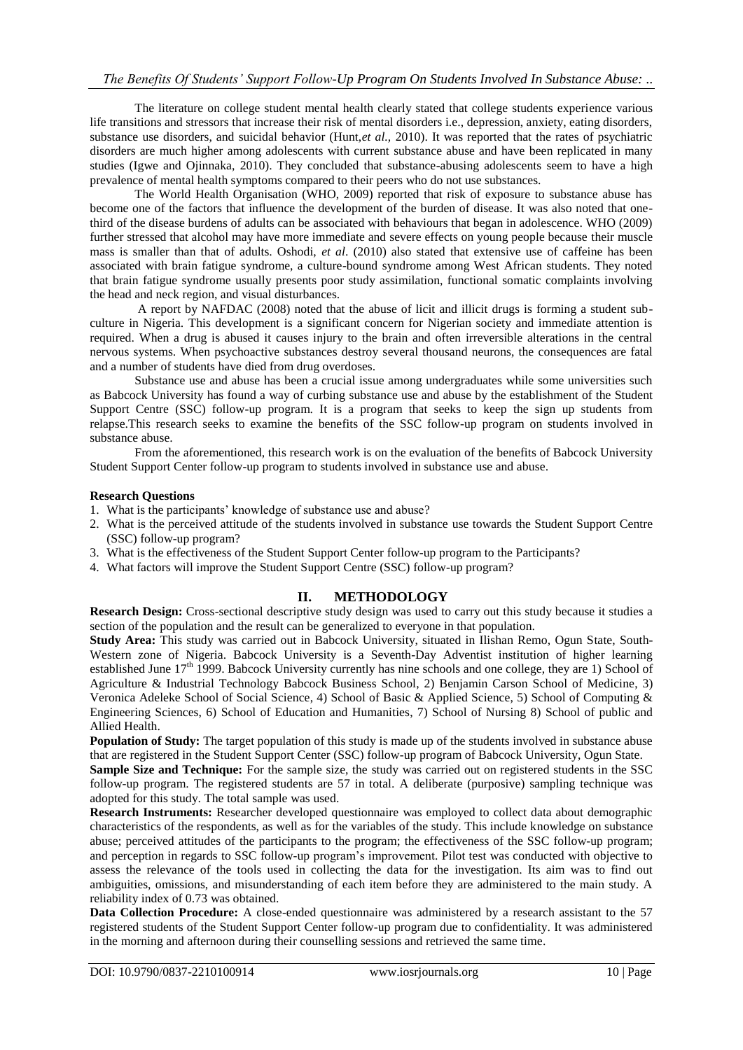The literature on college student mental health clearly stated that college students experience various life transitions and stressors that increase their risk of mental disorders i.e., depression, anxiety, eating disorders, substance use disorders, and suicidal behavior (Hunt,*et al.,* 2010). It was reported that the rates of psychiatric disorders are much higher among adolescents with current substance abuse and have been replicated in many studies (Igwe and Ojinnaka, 2010). They concluded that substance-abusing adolescents seem to have a high prevalence of mental health symptoms compared to their peers who do not use substances.

The World Health Organisation (WHO, 2009) reported that risk of exposure to substance abuse has become one of the factors that influence the development of the burden of disease. It was also noted that onethird of the disease burdens of adults can be associated with behaviours that began in adolescence. WHO (2009) further stressed that alcohol may have more immediate and severe effects on young people because their muscle mass is smaller than that of adults. Oshodi, *et al*. (2010) also stated that extensive use of caffeine has been associated with brain fatigue syndrome, a culture-bound syndrome among West African students. They noted that brain fatigue syndrome usually presents poor study assimilation, functional somatic complaints involving the head and neck region, and visual disturbances.

A report by NAFDAC (2008) noted that the abuse of licit and illicit drugs is forming a student subculture in Nigeria. This development is a significant concern for Nigerian society and immediate attention is required. When a drug is abused it causes injury to the brain and often irreversible alterations in the central nervous systems. When psychoactive substances destroy several thousand neurons, the consequences are fatal and a number of students have died from drug overdoses.

Substance use and abuse has been a crucial issue among undergraduates while some universities such as Babcock University has found a way of curbing substance use and abuse by the establishment of the Student Support Centre (SSC) follow-up program. It is a program that seeks to keep the sign up students from relapse.This research seeks to examine the benefits of the SSC follow-up program on students involved in substance abuse.

From the aforementioned, this research work is on the evaluation of the benefits of Babcock University Student Support Center follow-up program to students involved in substance use and abuse.

#### **Research Questions**

- 1. What is the participants' knowledge of substance use and abuse?
- 2. What is the perceived attitude of the students involved in substance use towards the Student Support Centre (SSC) follow-up program?
- 3. What is the effectiveness of the Student Support Center follow-up program to the Participants?
- 4. What factors will improve the Student Support Centre (SSC) follow-up program?

# **II. METHODOLOGY**

**Research Design:** Cross-sectional descriptive study design was used to carry out this study because it studies a section of the population and the result can be generalized to everyone in that population.

**Study Area:** This study was carried out in Babcock University, situated in Ilishan Remo, Ogun State, South-Western zone of Nigeria. Babcock University is a Seventh-Day Adventist institution of higher learning established June 17<sup>th</sup> 1999. Babcock University currently has nine schools and one college, they are 1) School of Agriculture & Industrial Technology Babcock Business School, 2) Benjamin Carson School of Medicine, 3) Veronica Adeleke School of Social Science, 4) School of Basic & Applied Science, 5) School of Computing & Engineering Sciences, 6) School of Education and Humanities, 7) School of Nursing 8) School of public and Allied Health.

**Population of Study:** The target population of this study is made up of the students involved in substance abuse that are registered in the Student Support Center (SSC) follow-up program of Babcock University, Ogun State.

**Sample Size and Technique:** For the sample size, the study was carried out on registered students in the SSC follow-up program. The registered students are 57 in total. A deliberate (purposive) sampling technique was adopted for this study. The total sample was used.

**Research Instruments:** Researcher developed questionnaire was employed to collect data about demographic characteristics of the respondents, as well as for the variables of the study. This include knowledge on substance abuse; perceived attitudes of the participants to the program; the effectiveness of the SSC follow-up program; and perception in regards to SSC follow-up program's improvement. Pilot test was conducted with objective to assess the relevance of the tools used in collecting the data for the investigation. Its aim was to find out ambiguities, omissions, and misunderstanding of each item before they are administered to the main study. A reliability index of 0.73 was obtained.

**Data Collection Procedure:** A close-ended questionnaire was administered by a research assistant to the 57 registered students of the Student Support Center follow-up program due to confidentiality. It was administered in the morning and afternoon during their counselling sessions and retrieved the same time.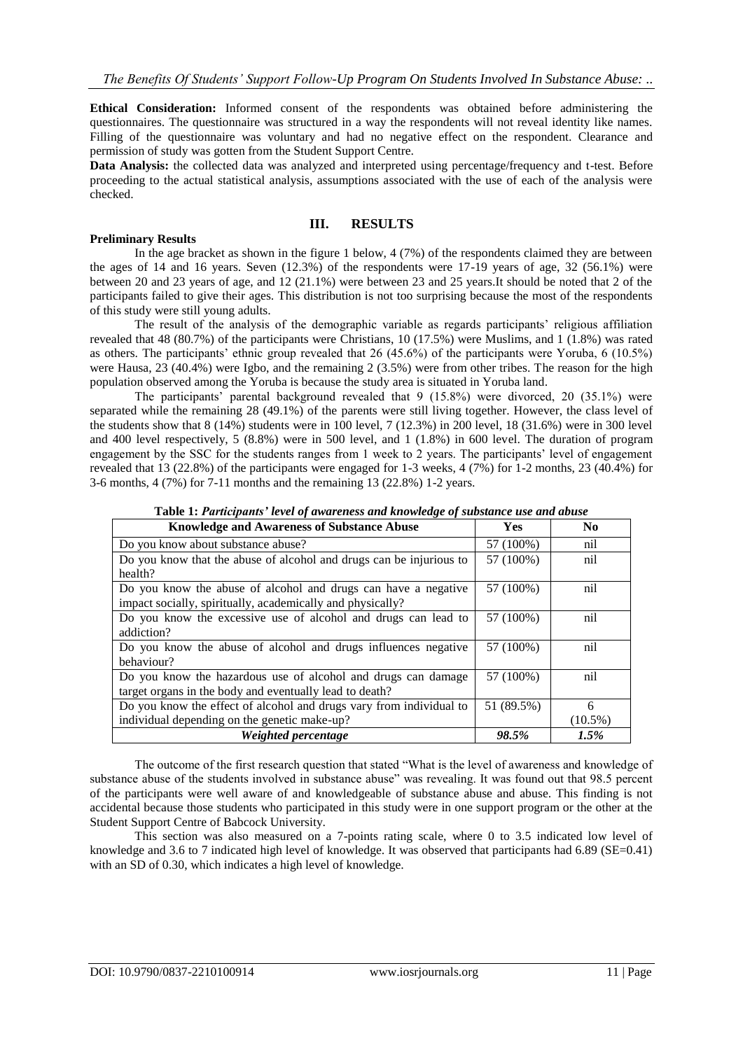**Ethical Consideration:** Informed consent of the respondents was obtained before administering the questionnaires. The questionnaire was structured in a way the respondents will not reveal identity like names. Filling of the questionnaire was voluntary and had no negative effect on the respondent. Clearance and permission of study was gotten from the Student Support Centre.

**Data Analysis:** the collected data was analyzed and interpreted using percentage/frequency and t-test. Before proceeding to the actual statistical analysis, assumptions associated with the use of each of the analysis were checked.

#### **III. RESULTS**

#### **Preliminary Results**

In the age bracket as shown in the figure 1 below, 4 (7%) of the respondents claimed they are between the ages of 14 and 16 years. Seven (12.3%) of the respondents were 17-19 years of age, 32 (56.1%) were between 20 and 23 years of age, and 12 (21.1%) were between 23 and 25 years.It should be noted that 2 of the participants failed to give their ages. This distribution is not too surprising because the most of the respondents of this study were still young adults.

The result of the analysis of the demographic variable as regards participants' religious affiliation revealed that 48 (80.7%) of the participants were Christians, 10 (17.5%) were Muslims, and 1 (1.8%) was rated as others. The participants' ethnic group revealed that 26 (45.6%) of the participants were Yoruba, 6 (10.5%) were Hausa, 23 (40.4%) were Igbo, and the remaining 2 (3.5%) were from other tribes. The reason for the high population observed among the Yoruba is because the study area is situated in Yoruba land.

The participants' parental background revealed that 9 (15.8%) were divorced, 20 (35.1%) were separated while the remaining 28 (49.1%) of the parents were still living together. However, the class level of the students show that 8 (14%) students were in 100 level, 7 (12.3%) in 200 level, 18 (31.6%) were in 300 level and 400 level respectively, 5 (8.8%) were in 500 level, and 1 (1.8%) in 600 level. The duration of program engagement by the SSC for the students ranges from 1 week to 2 years. The participants' level of engagement revealed that 13 (22.8%) of the participants were engaged for 1-3 weeks, 4 (7%) for 1-2 months, 23 (40.4%) for 3-6 months, 4 (7%) for 7-11 months and the remaining 13 (22.8%) 1-2 years.

| <b>Knowledge and Awareness of Substance Abuse</b>                   | <b>Yes</b> | N <sub>0</sub> |
|---------------------------------------------------------------------|------------|----------------|
| Do you know about substance abuse?                                  | 57 (100%)  | nil            |
| Do you know that the abuse of alcohol and drugs can be injurious to | 57 (100%)  | nil            |
| health?                                                             |            |                |
| Do you know the abuse of alcohol and drugs can have a negative      | 57 (100%)  | nil            |
| impact socially, spiritually, academically and physically?          |            |                |
| Do you know the excessive use of alcohol and drugs can lead to      | 57 (100%)  | nil            |
| addiction?                                                          |            |                |
| Do you know the abuse of alcohol and drugs influences negative      | 57 (100%)  | nil            |
| behaviour?                                                          |            |                |
| Do you know the hazardous use of alcohol and drugs can damage       | 57 (100%)  | nil            |
| target organs in the body and eventually lead to death?             |            |                |
| Do you know the effect of alcohol and drugs vary from individual to | 51 (89.5%) | 6              |
| individual depending on the genetic make-up?                        |            | $(10.5\%)$     |
| Weighted percentage                                                 | 98.5%      | 1.5%           |

**Table 1:** *Participants' level of awareness and knowledge of substance use and abuse*

The outcome of the first research question that stated "What is the level of awareness and knowledge of substance abuse of the students involved in substance abuse" was revealing. It was found out that 98.5 percent of the participants were well aware of and knowledgeable of substance abuse and abuse. This finding is not accidental because those students who participated in this study were in one support program or the other at the Student Support Centre of Babcock University.

This section was also measured on a 7-points rating scale, where 0 to 3.5 indicated low level of knowledge and 3.6 to 7 indicated high level of knowledge. It was observed that participants had 6.89 (SE=0.41) with an SD of 0.30, which indicates a high level of knowledge.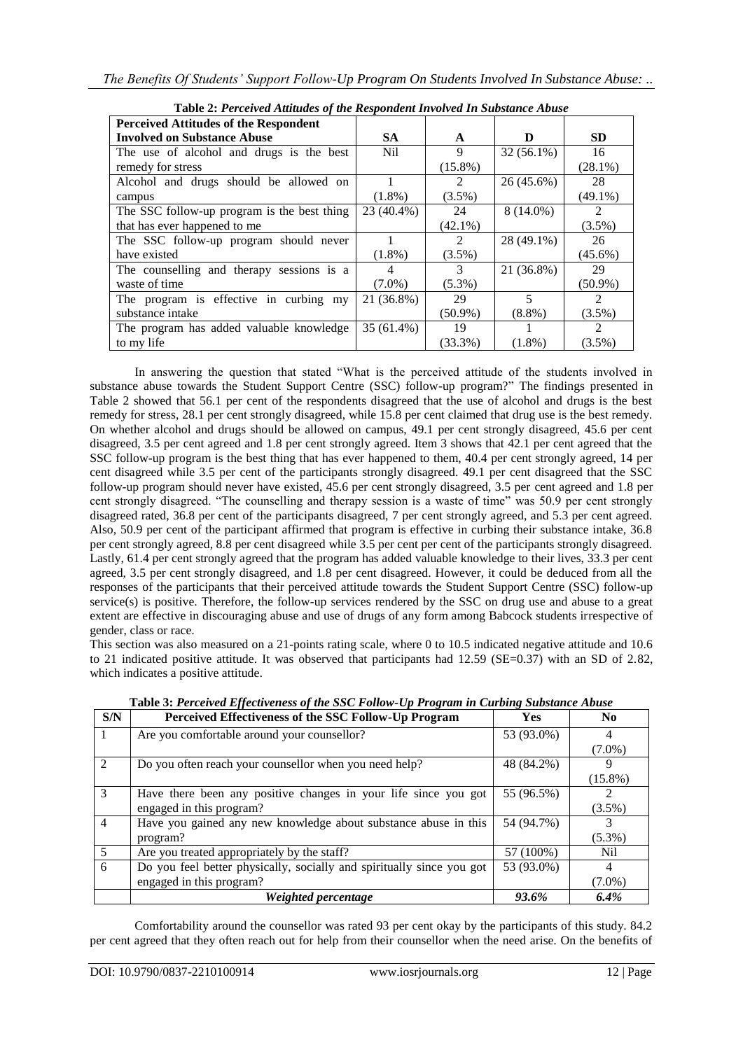| Table 2.1 ertetved Annuales of the Respondent Involved In Substance Abuse |                 |                |                          |                |  |
|---------------------------------------------------------------------------|-----------------|----------------|--------------------------|----------------|--|
| <b>Perceived Attitudes of the Respondent</b>                              |                 |                |                          |                |  |
| <b>Involved on Substance Abuse</b>                                        | <b>SA</b>       | A              | D                        | <b>SD</b>      |  |
| The use of alcohol and drugs is the best                                  | N <sub>il</sub> | 9              | $32(56.1\%)$             | 16             |  |
| remedy for stress                                                         |                 | $(15.8\%)$     |                          | $(28.1\%)$     |  |
| Alcohol and drugs should be allowed on                                    |                 | $\mathfrak{D}$ | 26 (45.6%)               | 28             |  |
| campus                                                                    | $(1.8\%)$       | $(3.5\%)$      |                          | $(49.1\%)$     |  |
| The SSC follow-up program is the best thing                               | 23 (40.4%)      | 24             | $8(14.0\%)$              | $\mathfrak{D}$ |  |
| that has ever happened to me                                              |                 | $(42.1\%)$     |                          | $(3.5\%)$      |  |
| The SSC follow-up program should never                                    |                 | $\mathfrak{D}$ | 28 (49.1%)               | 26             |  |
| have existed                                                              | $(1.8\%)$       | $(3.5\%)$      |                          | $(45.6\%)$     |  |
| The counselling and therapy sessions is a                                 | 4               | 3              | 21 (36.8%)               | 29             |  |
| waste of time                                                             | $(7.0\%)$       | $(5.3\%)$      |                          | $(50.9\%)$     |  |
| The program is effective in curbing my                                    | 21 (36.8%)      | 29             | $\overline{\mathcal{L}}$ | $\mathfrak{D}$ |  |
| substance intake                                                          |                 | $(50.9\%)$     | $(8.8\%)$                | $(3.5\%)$      |  |
| The program has added valuable knowledge                                  | 35 (61.4%)      | 19             |                          | $\mathcal{L}$  |  |
| to my life                                                                |                 | $(33.3\%)$     | $(1.8\%)$                | $(3.5\%)$      |  |

**Table 2:** *Perceived Attitudes of the Respondent Involved In Substance Abuse*

In answering the question that stated "What is the perceived attitude of the students involved in substance abuse towards the Student Support Centre (SSC) follow-up program?" The findings presented in Table 2 showed that 56.1 per cent of the respondents disagreed that the use of alcohol and drugs is the best remedy for stress, 28.1 per cent strongly disagreed, while 15.8 per cent claimed that drug use is the best remedy. On whether alcohol and drugs should be allowed on campus, 49.1 per cent strongly disagreed, 45.6 per cent disagreed, 3.5 per cent agreed and 1.8 per cent strongly agreed. Item 3 shows that 42.1 per cent agreed that the SSC follow-up program is the best thing that has ever happened to them, 40.4 per cent strongly agreed, 14 per cent disagreed while 3.5 per cent of the participants strongly disagreed. 49.1 per cent disagreed that the SSC follow-up program should never have existed, 45.6 per cent strongly disagreed, 3.5 per cent agreed and 1.8 per cent strongly disagreed. "The counselling and therapy session is a waste of time" was 50.9 per cent strongly disagreed rated, 36.8 per cent of the participants disagreed, 7 per cent strongly agreed, and 5.3 per cent agreed. Also, 50.9 per cent of the participant affirmed that program is effective in curbing their substance intake, 36.8 per cent strongly agreed, 8.8 per cent disagreed while 3.5 per cent per cent of the participants strongly disagreed. Lastly, 61.4 per cent strongly agreed that the program has added valuable knowledge to their lives, 33.3 per cent agreed, 3.5 per cent strongly disagreed, and 1.8 per cent disagreed. However, it could be deduced from all the responses of the participants that their perceived attitude towards the Student Support Centre (SSC) follow-up service(s) is positive. Therefore, the follow-up services rendered by the SSC on drug use and abuse to a great extent are effective in discouraging abuse and use of drugs of any form among Babcock students irrespective of gender, class or race.

This section was also measured on a 21-points rating scale, where 0 to 10.5 indicated negative attitude and 10.6 to 21 indicated positive attitude. It was observed that participants had 12.59 (SE=0.37) with an SD of 2.82, which indicates a positive attitude.

| S/N            | Perceived Effectiveness of the SSC Follow-Up Program                  | Yes        | N <sub>0</sub> |
|----------------|-----------------------------------------------------------------------|------------|----------------|
|                | Are you comfortable around your counsellor?                           | 53 (93.0%) |                |
|                |                                                                       |            | $(7.0\%)$      |
| $\mathcal{L}$  | Do you often reach your counsellor when you need help?                | 48 (84.2%) | Q              |
|                |                                                                       |            | $(15.8\%)$     |
| 3              | Have there been any positive changes in your life since you got       | 55 (96.5%) |                |
|                | engaged in this program?                                              |            | $(3.5\%)$      |
| $\overline{4}$ | Have you gained any new knowledge about substance abuse in this       | 54 (94.7%) |                |
|                | program?                                                              |            | $(5.3\%)$      |
| 5              | Are you treated appropriately by the staff?                           | 57 (100%)  | Nil            |
| 6              | Do you feel better physically, socially and spiritually since you got | 53 (93.0%) | 4              |
|                | engaged in this program?                                              |            | $(7.0\%)$      |
|                | Weighted percentage                                                   | 93.6%      | 6.4%           |

**Table 3:** *Perceived Effectiveness of the SSC Follow-Up Program in Curbing Substance Abuse*

Comfortability around the counsellor was rated 93 per cent okay by the participants of this study. 84.2 per cent agreed that they often reach out for help from their counsellor when the need arise. On the benefits of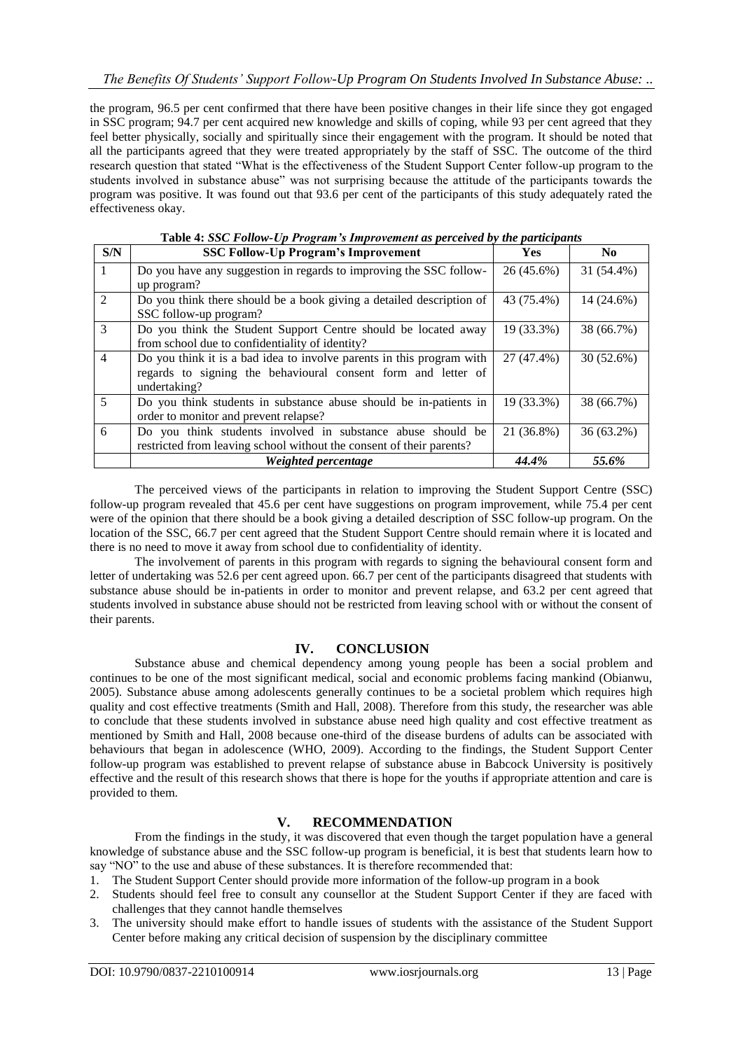the program, 96.5 per cent confirmed that there have been positive changes in their life since they got engaged in SSC program; 94.7 per cent acquired new knowledge and skills of coping, while 93 per cent agreed that they feel better physically, socially and spiritually since their engagement with the program. It should be noted that all the participants agreed that they were treated appropriately by the staff of SSC. The outcome of the third research question that stated "What is the effectiveness of the Student Support Center follow-up program to the students involved in substance abuse" was not surprising because the attitude of the participants towards the program was positive. It was found out that 93.6 per cent of the participants of this study adequately rated the effectiveness okay.

| S/N            | <b>SSC Follow-Up Program's Improvement</b>                            | <b>Yes</b> | N <sub>0</sub> |
|----------------|-----------------------------------------------------------------------|------------|----------------|
|                | Do you have any suggestion in regards to improving the SSC follow-    | 26 (45.6%) | 31 (54.4%)     |
|                | up program?                                                           |            |                |
| $\mathfrak{D}$ | Do you think there should be a book giving a detailed description of  | 43 (75.4%) | 14 (24.6%)     |
|                | SSC follow-up program?                                                |            |                |
| $\mathcal{R}$  | Do you think the Student Support Centre should be located away        | 19 (33.3%) | 38 (66.7%)     |
|                | from school due to confidentiality of identity?                       |            |                |
| $\overline{4}$ | Do you think it is a bad idea to involve parents in this program with | 27 (47.4%) | 30 (52.6%)     |
|                | regards to signing the behavioural consent form and letter of         |            |                |
|                | undertaking?                                                          |            |                |
| 5              | Do you think students in substance abuse should be in-patients in     | 19 (33.3%) | 38 (66.7%)     |
|                | order to monitor and prevent relapse?                                 |            |                |
| 6              | Do you think students involved in substance abuse should be           | 21 (36.8%) | 36 (63.2%)     |
|                | restricted from leaving school without the consent of their parents?  |            |                |
|                | Weighted percentage                                                   | 44.4%      | 55.6%          |

**Table 4:** *SSC Follow-Up Program's Improvement as perceived by the participants*

The perceived views of the participants in relation to improving the Student Support Centre (SSC) follow-up program revealed that 45.6 per cent have suggestions on program improvement, while 75.4 per cent were of the opinion that there should be a book giving a detailed description of SSC follow-up program. On the location of the SSC, 66.7 per cent agreed that the Student Support Centre should remain where it is located and there is no need to move it away from school due to confidentiality of identity.

The involvement of parents in this program with regards to signing the behavioural consent form and letter of undertaking was 52.6 per cent agreed upon. 66.7 per cent of the participants disagreed that students with substance abuse should be in-patients in order to monitor and prevent relapse, and 63.2 per cent agreed that students involved in substance abuse should not be restricted from leaving school with or without the consent of their parents.

# **IV. CONCLUSION**

Substance abuse and chemical dependency among young people has been a social problem and continues to be one of the most significant medical, social and economic problems facing mankind (Obianwu, 2005). Substance abuse among adolescents generally continues to be a societal problem which requires high quality and cost effective treatments (Smith and Hall, 2008). Therefore from this study, the researcher was able to conclude that these students involved in substance abuse need high quality and cost effective treatment as mentioned by Smith and Hall, 2008 because one-third of the disease burdens of adults can be associated with behaviours that began in adolescence (WHO, 2009). According to the findings, the Student Support Center follow-up program was established to prevent relapse of substance abuse in Babcock University is positively effective and the result of this research shows that there is hope for the youths if appropriate attention and care is provided to them.

# **V. RECOMMENDATION**

From the findings in the study, it was discovered that even though the target population have a general knowledge of substance abuse and the SSC follow-up program is beneficial, it is best that students learn how to say "NO" to the use and abuse of these substances. It is therefore recommended that:

- 1. The Student Support Center should provide more information of the follow-up program in a book
- 2. Students should feel free to consult any counsellor at the Student Support Center if they are faced with challenges that they cannot handle themselves
- 3. The university should make effort to handle issues of students with the assistance of the Student Support Center before making any critical decision of suspension by the disciplinary committee